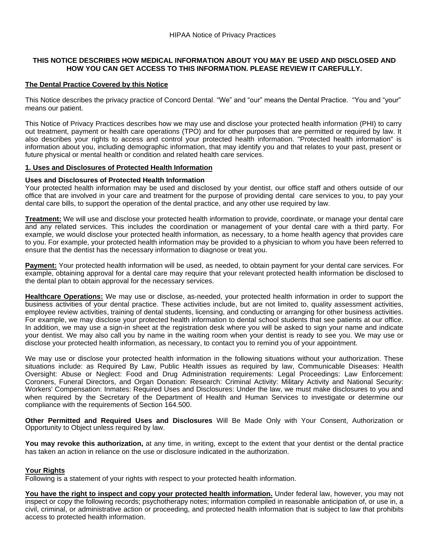### **THIS NOTICE DESCRIBES HOW MEDICAL INFORMATION ABOUT YOU MAY BE USED AND DISCLOSED AND HOW YOU CAN GET ACCESS TO THIS INFORMATION. PLEASE REVIEW IT CAREFULLY.**

#### **The Dental Practice Covered by this Notice**

This Notice describes the privacy practice of Concord Dental. "We" and "our" means the Dental Practice. "You and "your" means our patient.

This Notice of Privacy Practices describes how we may use and disclose your protected health information (PHI) to carry out treatment, payment or health care operations (TPO) and for other purposes that are permitted or required by law. It also describes your rights to access and control your protected health information. "Protected health information" is information about you, including demographic information, that may identify you and that relates to your past, present or future physical or mental health or condition and related health care services.

#### **1. Uses and Disclosures of Protected Health Information**

# **Uses and Disclosures of Protected Health Information**

Your protected health information may be used and disclosed by your dentist, our office staff and others outside of our office that are involved in your care and treatment for the purpose of providing dental care services to you, to pay your dental care bills, to support the operation of the dental practice, and any other use required by law.

**Treatment:** We will use and disclose your protected health information to provide, coordinate, or manage your dental care and any related services. This includes the coordination or management of your dental care with a third party. For example, we would disclose your protected health information, as necessary, to a home health agency that provides care to you. For example, your protected health information may be provided to a physician to whom you have been referred to ensure that the dentist has the necessary information to diagnose or treat you.

**Payment:** Your protected health information will be used, as needed, to obtain payment for your dental care services. For example, obtaining approval for a dental care may require that your relevant protected health information be disclosed to the dental plan to obtain approval for the necessary services.

**Healthcare Operations:** We may use or disclose, as-needed, your protected health information in order to support the business activities of your dental practice. These activities include, but are not limited to, quality assessment activities, employee review activities, training of dental students, licensing, and conducting or arranging for other business activities. For example, we may disclose your protected health information to dental school students that see patients at our office. In addition, we may use a sign-in sheet at the registration desk where you will be asked to sign your name and indicate your dentist. We may also call you by name in the waiting room when your dentist is ready to see you. We may use or disclose your protected health information, as necessary, to contact you to remind you of your appointment.

We may use or disclose your protected health information in the following situations without your authorization. These situations include: as Required By Law, Public Health issues as required by law, Communicable Diseases: Health Oversight: Abuse or Neglect: Food and Drug Administration requirements: Legal Proceedings: Law Enforcement: Coroners, Funeral Directors, and Organ Donation: Research: Criminal Activity: Military Activity and National Security: Workers' Compensation: Inmates: Required Uses and Disclosures: Under the law, we must make disclosures to you and when required by the Secretary of the Department of Health and Human Services to investigate or determine our compliance with the requirements of Section 164.500.

**Other Permitted and Required Uses and Disclosures** Will Be Made Only with Your Consent, Authorization or Opportunity to Object unless required by law.

**You may revoke this authorization,** at any time, in writing, except to the extent that your dentist or the dental practice has taken an action in reliance on the use or disclosure indicated in the authorization.

#### **Your Rights**

Following is a statement of your rights with respect to your protected health information.

**You have the right to inspect and copy your protected health information.** Under federal law, however, you may not inspect or copy the following records; psychotherapy notes; information compiled in reasonable anticipation of, or use in, a civil, criminal, or administrative action or proceeding, and protected health information that is subject to law that prohibits access to protected health information.